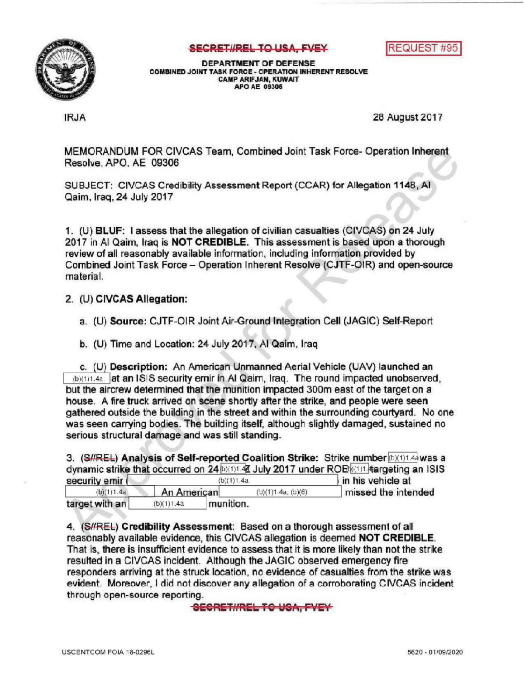

## SECRETI/REL TO USA, FVEY



DEPARTMENTOF DEFENSE COMBINED JOINT TASK FORCE - OPERATION INHERENT RESOLVE CAMPARIFJAN, KUWAIT APOAE 09306

IRJA 28 August 2017

MEMORANDUM FOR CIVCAS Team, Combined Joint Task Force-Operation Inherent Resolve, APO, AE 09306

SUBJECT: CIVCAS Credibility Assessment Report (CCAR) for Allegation 1148, AI Qaim, Iraq, 24 July 2017

1. (U) BLUF: I assess that the allegation of civilian casualties (CIVCAS) on 24 July 2017 in Al Qaim, Iraq is NOT CREDIBLE. This assessment is based upon a thorough review of all reasonably available information, including information provided by Combined Joint Task Force - Operation Inherent Resolve (CJTF-OIR) and open-source material

## 2. (U) CIVCAS Allegation:

a. (U) Source: CJTF-OIR Joint Air-Ground Integration Cell (JAGIC) Self-Report

b. (U) Time and Location: 24 July 2017, AI Qaim, Iraq

c. (U) Description: An American Unmanned Aerial Vehicle (UAV) launched an (b)(1)1.4a at an ISIS security emir in Al Qaim, Iraq. The round impacted unobserved, but the aircrew determined that the munition impacted 300m east of the target on a house. A fire truck arrived on scene shortly after the strike, and people were seen gathered outside the building in the street and within the surrounding courtyard. No one was seen carrying bodies. The building itself, although slightly damaged, sustained no serious structural damage and was still standing.

3. (S#REL) Analysis of Self-reported Coalition Strike: Strike number (b)(1)1.4a was a dynamic strike that occurred on 24 $\frac{b}{(1)!}$  4 July 2017 under ROE $\frac{b}{(1)!}$  and  $\frac{b}{(1)!}$  and ISIS security emir y emir (  $(b)(1)1.4a$  in his vehicle at <br>(b)(1)1.4a American (b)(1)1.4a, (b)(6) missed the intermissed the intended

target with  $an$   $(b)(1)1.4a$  munition.

4. (S//REL) Credibility Assessment: Based on a thorough assessment of all reasonably available evidence, this CIVCAS allegation is deemed NOT CREDIBLE. That is, there is insufficient evidence to assess that it is more likely than not the strike resulted in a CIVCAS incident. Although the JAGIC observed emergency fire responders arriving at the struck location, no evidence of casualties from the strike was evident. Moreover, I did not discover any allegation of a corroborating CIVCAS incident through open-source reporting.

SECRET//REL TO USA, FVEY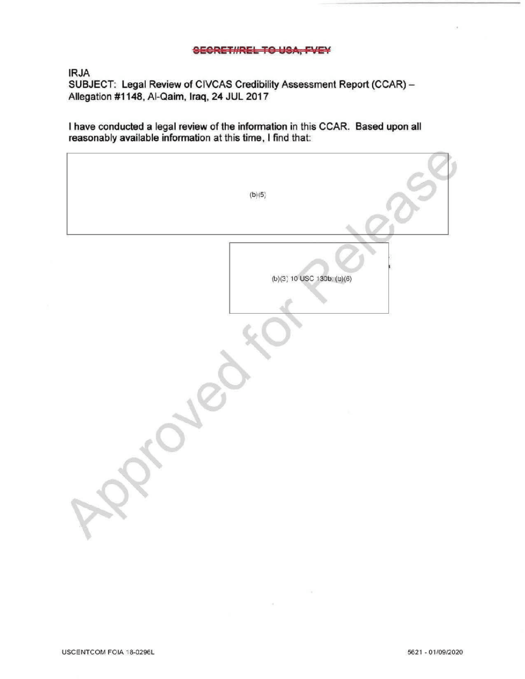## SECRET#RELTOUSA, FVEY

IRJA

SUBJECT: Legal Review of CIVCAS Credibility Assessment Report (CCAR) -Allegation #1148, Al-Qaim, Iraq, 24 JUL 2017

I have conducted a legal review of the information in this CCAR. Based upon all reasonably available information at this time, I find that

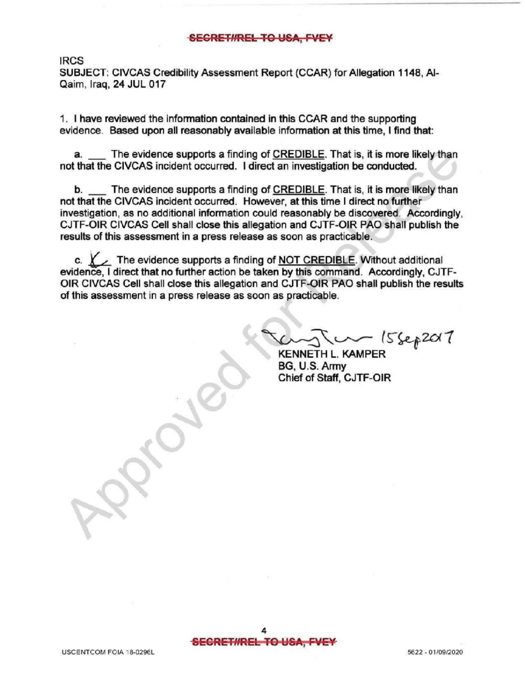## SEGRET#REL TO USA, FVEY

IRCS

SUBJECT: CIVCAS Credibility Assessment Report (CCAR) for Allegation 1148, Al-Qaim, Iraq, 24 JUL 017

1. have reviewed the information contained in this CCAR and the supporting evidence. Based upon all reasonably available information at this time, I find that:

a. The evidence supports a finding of CREDIBLE. That is, it is more likely than not that the CIVCAS incident occurred. I direct an investigation be conducted.

b. The evidence supports a finding of CREDIBLE. That is, it is more likely than not that the CIVCAS incident occurred. However, at this time I direct no further investigation, as no additional information could reasonably be discovered. Accordingly, CJTF-OIR CIVCAS Cell shall close this allegation and CJTF-OIR PAO shall publish the results of this assessment in a press release as soon as practicable.

The evidence supports a finding of NOT CREDIBLE. Without additional evidence, <sup>I</sup> direct that no further action be taken by this command. Accordingly, CJTF OIR CIVCAS Cell shall close this allegation and CJTF-OIR PAO shall publish the results of this assessment in a press release as soon as practicable.

 $20 - 15$   $sep201$ 

KENNETH L. KAMPER BG, U.S.Army Chief of Staff, CJTF-OIR

 $\mathscr{R}$